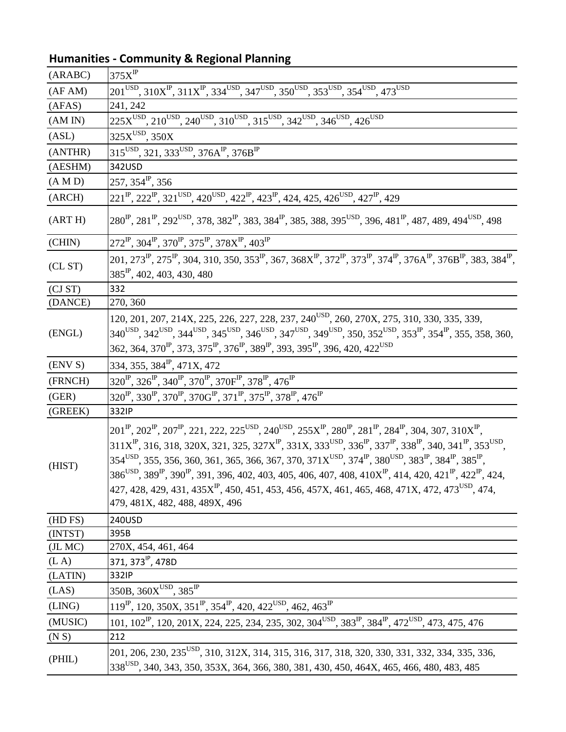| (ARABC) | $375X$ <sup>IP</sup>                                                                                                                                                                                                                                                                                                                                                                                                                                                                                                                                                                                                                                                                                                                                                                                                                                                   |
|---------|------------------------------------------------------------------------------------------------------------------------------------------------------------------------------------------------------------------------------------------------------------------------------------------------------------------------------------------------------------------------------------------------------------------------------------------------------------------------------------------------------------------------------------------------------------------------------------------------------------------------------------------------------------------------------------------------------------------------------------------------------------------------------------------------------------------------------------------------------------------------|
| (AFAM)  | $201^{USD}$ , $310X^{IP}$ , $311X^{IP}$ , $334^{USD}$ , $347^{USD}$ , $350^{USD}$ , $353^{USD}$ , $354^{USD}$ , $473^{USD}$                                                                                                                                                                                                                                                                                                                                                                                                                                                                                                                                                                                                                                                                                                                                            |
| (AFAS)  | 241, 242                                                                                                                                                                                                                                                                                                                                                                                                                                                                                                                                                                                                                                                                                                                                                                                                                                                               |
| (AM IN) | $225X^{USD}$ , $210^{USD}$ , $240^{USD}$ , $310^{USD}$ , $315^{USD}$ , $342^{USD}$ , $346^{USD}$ , $426^{USD}$                                                                                                                                                                                                                                                                                                                                                                                                                                                                                                                                                                                                                                                                                                                                                         |
| (ASL)   | $325X^{USD}$ , $350X$                                                                                                                                                                                                                                                                                                                                                                                                                                                                                                                                                                                                                                                                                                                                                                                                                                                  |
| (ANTHR) | 315 <sup>USD</sup> , 321, 333 <sup>USD</sup> , 376A <sup>IP</sup> , 376B <sup>IP</sup>                                                                                                                                                                                                                                                                                                                                                                                                                                                                                                                                                                                                                                                                                                                                                                                 |
| (AESHM) | 342USD                                                                                                                                                                                                                                                                                                                                                                                                                                                                                                                                                                                                                                                                                                                                                                                                                                                                 |
| (A M D) | $257, 354^{\text{IP}}$ , 356                                                                                                                                                                                                                                                                                                                                                                                                                                                                                                                                                                                                                                                                                                                                                                                                                                           |
| (ARCH)  | $221^{\text{IP}}$ , $222^{\text{IP}}$ , $321^{\text{USD}}$ , $420^{\text{USD}}$ , $422^{\text{IP}}$ , $423^{\text{IP}}$ , $424$ , $425$ , $426^{\text{USD}}$ , $427^{\text{IP}}$ , $429$                                                                                                                                                                                                                                                                                                                                                                                                                                                                                                                                                                                                                                                                               |
| (ART H) | $280^{\text{IP}}, 281^{\text{IP}}, 292^{\text{USD}}, 378, 382^{\text{IP}}, 383, 384^{\text{IP}}, 385, 388, 395^{\text{USD}}, 396, 481^{\text{IP}}, 487, 489, 494^{\text{USD}}, 498$                                                                                                                                                                                                                                                                                                                                                                                                                                                                                                                                                                                                                                                                                    |
| (CHIN)  | $272^{\text{IP}}$ , $304^{\text{IP}}$ , $370^{\text{IP}}$ , $375^{\text{IP}}$ , $378X^{\text{IP}}$ , $403^{\text{IP}}$                                                                                                                                                                                                                                                                                                                                                                                                                                                                                                                                                                                                                                                                                                                                                 |
| (CL ST) | 201, 273 <sup>IP</sup> , 275 <sup>IP</sup> , 304, 310, 350, 353 <sup>IP</sup> , 367, 368X <sup>IP</sup> , 372 <sup>IP</sup> , 373 <sup>IP</sup> , 374 <sup>IP</sup> , 376A <sup>IP</sup> , 376B <sup>IP</sup> , 383, 384 <sup>IP</sup> ,<br>$385^{\text{IP}}$ , 402, 403, 430, 480                                                                                                                                                                                                                                                                                                                                                                                                                                                                                                                                                                                     |
| (CJ ST) | 332                                                                                                                                                                                                                                                                                                                                                                                                                                                                                                                                                                                                                                                                                                                                                                                                                                                                    |
| (DANCE) | 270, 360                                                                                                                                                                                                                                                                                                                                                                                                                                                                                                                                                                                                                                                                                                                                                                                                                                                               |
| (ENGL)  | 120, 201, 207, 214X, 225, 226, 227, 228, 237, 240 <sup>USD</sup> , 260, 270X, 275, 310, 330, 335, 339,<br>$340^{USD}$ , $342^{USD}$ , $344^{USD}$ , $345^{USD}$ , $346^{USD}$ , $347^{USD}$ , $349^{USD}$ , $350$ , $352^{USD}$ , $353^{IP}$ , $354^{IP}$ , $355$ , $358$ , $360$ ,<br>362, 364, 370 <sup>IP</sup> , 373, 375 <sup>IP</sup> , 376 <sup>IP</sup> , 389 <sup>IP</sup> , 393, 395 <sup>IP</sup> , 396, 420, 422 <sup>USD</sup>                                                                                                                                                                                                                                                                                                                                                                                                                            |
| (ENV S) | 334, 355, 384 <sup>IP</sup> , 471X, 472                                                                                                                                                                                                                                                                                                                                                                                                                                                                                                                                                                                                                                                                                                                                                                                                                                |
| (FRNCH) | $320^{\text{IP}}$ , $326^{\text{IP}}$ , $340^{\text{IP}}$ , $370^{\text{IP}}$ , $370\text{F}^{\text{IP}}$ , $378^{\text{IP}}$ , $476^{\text{IP}}$                                                                                                                                                                                                                                                                                                                                                                                                                                                                                                                                                                                                                                                                                                                      |
| (GER)   | $320^{IP}$ , $330^{IP}$ , $370^{IP}$ , $370G^{IP}$ , $371^{IP}$ , $375^{IP}$ , $378^{IP}$ , $476^{IP}$                                                                                                                                                                                                                                                                                                                                                                                                                                                                                                                                                                                                                                                                                                                                                                 |
| (GREEK) | 332IP                                                                                                                                                                                                                                                                                                                                                                                                                                                                                                                                                                                                                                                                                                                                                                                                                                                                  |
| (HIST)  | $201^{IP}$ , $202^{IP}$ , $207^{IP}$ , $221$ , $222$ , $225^{USD}$ , $240^{USD}$ , $255X^{IP}$ , $280^{IP}$ , $281^{IP}$ , $284^{IP}$ , $304$ , $307$ , $310X^{IP}$ ,<br>$311X^{IP}$ , 316, 318, 320X, 321, 325, 327X <sup>IP</sup> , 331X, 333 <sup>USD</sup> , 336 <sup>IP</sup> , 337 <sup>IP</sup> , 338 <sup>IP</sup> , 340, 341 <sup>IP</sup> , 353 <sup>USD</sup> ,<br>$354^{USD}$ , $355$ , $356$ , $360$ , $361$ , $365$ , $366$ , $367$ , $370$ , $371X^{USD}$ , $374^P$ , $380^{USD}$ , $383^P$ , $384^P$ , $385^P$ ,<br>$386^{USD}$ , $389^{IP}$ , $390^{IP}$ , $391$ , $396$ , $402$ , $403$ , $405$ , $406$ , $407$ , $408$ , $410X^{IP}$ , $414$ , $420$ , $421^{IP}$ , $422^{IP}$ , $424$ ,<br>427, 428, 429, 431, 435X <sup>P</sup> , 450, 451, 453, 456, 457X, 461, 465, 468, 471X, 472, 473 <sup>USD</sup> , 474,<br>479, 481X, 482, 488, 489X, 496 |
| (HD FS) | 240USD                                                                                                                                                                                                                                                                                                                                                                                                                                                                                                                                                                                                                                                                                                                                                                                                                                                                 |
| (INTST) | 395B                                                                                                                                                                                                                                                                                                                                                                                                                                                                                                                                                                                                                                                                                                                                                                                                                                                                   |
| (JL MC) | 270X, 454, 461, 464                                                                                                                                                                                                                                                                                                                                                                                                                                                                                                                                                                                                                                                                                                                                                                                                                                                    |
| (L A)   | 371, 373 <sup>IP</sup> , 478D                                                                                                                                                                                                                                                                                                                                                                                                                                                                                                                                                                                                                                                                                                                                                                                                                                          |
| (LATIN) | 332IP                                                                                                                                                                                                                                                                                                                                                                                                                                                                                                                                                                                                                                                                                                                                                                                                                                                                  |
| (LAS)   | $350B, 360X^{USD}, 385^{IP}$                                                                                                                                                                                                                                                                                                                                                                                                                                                                                                                                                                                                                                                                                                                                                                                                                                           |
| (LING)  | $119^{\text{IP}}$ , 120, 350X, 351 <sup>IP</sup> , 354 <sup>IP</sup> , 420, 422 <sup>USD</sup> , 462, 463 <sup>IP</sup>                                                                                                                                                                                                                                                                                                                                                                                                                                                                                                                                                                                                                                                                                                                                                |
| (MUSIC) | 101, $102^{\text{IP}}$ , 120, 201X, 224, 225, 234, 235, 302, 304 <sup>USD</sup> , 383 <sup>IP</sup> , 384 <sup>IP</sup> , 472 <sup>USD</sup> , 473, 475, 476                                                                                                                                                                                                                                                                                                                                                                                                                                                                                                                                                                                                                                                                                                           |
| (N S)   | 212                                                                                                                                                                                                                                                                                                                                                                                                                                                                                                                                                                                                                                                                                                                                                                                                                                                                    |
| (PHIL)  | 201, 206, 230, 235 <sup>USD</sup> , 310, 312X, 314, 315, 316, 317, 318, 320, 330, 331, 332, 334, 335, 336,<br>338 <sup>USD</sup> , 340, 343, 350, 353X, 364, 366, 380, 381, 430, 450, 464X, 465, 466, 480, 483, 485                                                                                                                                                                                                                                                                                                                                                                                                                                                                                                                                                                                                                                                    |

## **Humanities - Community & Regional Planning**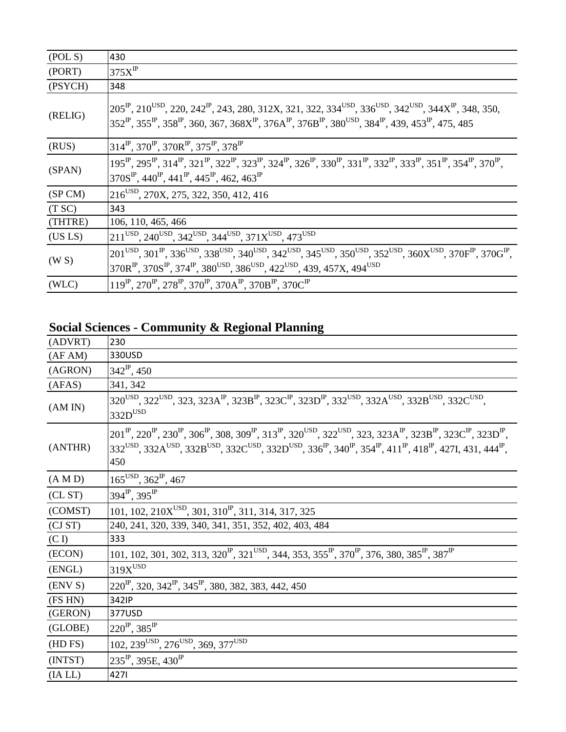| (POLS)  | 430                                                                                                                                                                                                                                                                                                                                                                                                                        |
|---------|----------------------------------------------------------------------------------------------------------------------------------------------------------------------------------------------------------------------------------------------------------------------------------------------------------------------------------------------------------------------------------------------------------------------------|
| (PORT)  | $375X$ <sup>IP</sup>                                                                                                                                                                                                                                                                                                                                                                                                       |
| (PSYCH) | 348                                                                                                                                                                                                                                                                                                                                                                                                                        |
| (RELIG) | $205^{\text{IP}}$ , 210 <sup>USD</sup> , 220, 242 <sup>IP</sup> , 243, 280, 312X, 321, 322, 334 <sup>USD</sup> , 336 <sup>USD</sup> , 342 <sup>USD</sup> , 344X <sup>IP</sup> , 348, 350,<br>$352^{\text{IP}}$ , $355^{\text{IP}}$ , $358^{\text{IP}}$ , $360$ , $367$ , $368X^{\text{IP}}$ , $376A^{\text{IP}}$ , $376B^{\text{IP}}$ , $380^{\text{USD}}$ , $384^{\text{IP}}$ , $439$ , $453^{\text{IP}}$ , $475$ , $485$ |
| (RUS)   | 314 <sup>IP</sup> , 370 <sup>IP</sup> , 370R <sup>IP</sup> , 375 <sup>IP</sup> , 378 <sup>IP</sup>                                                                                                                                                                                                                                                                                                                         |
| (SPAN)  | $195^{\rm P}$ , $295^{\rm P}$ , $314^{\rm P}$ , $321^{\rm P}$ , $322^{\rm P}$ , $323^{\rm P}$ , $324^{\rm P}$ , $326^{\rm P}$ , $330^{\rm P}$ , $331^{\rm P}$ , $332^{\rm P}$ , $333^{\rm P}$ , $351^{\rm P}$ , $354^{\rm P}$ , $370^{\rm P}$ ,<br>370 $S^P$ , 440 <sup><math>P</math></sup> , 441 <sup><math>P</math></sup> , 445 <sup><math>P</math></sup> , 462, 463 <sup><math>P</math></sup>                          |
| (SP CM) | 216 <sup>USD</sup> , 270X, 275, 322, 350, 412, 416                                                                                                                                                                                                                                                                                                                                                                         |
| (T SC)  | 343                                                                                                                                                                                                                                                                                                                                                                                                                        |
| (THTRE) | 106, 110, 465, 466                                                                                                                                                                                                                                                                                                                                                                                                         |
| (US LS) | $211^{\text{USD}}$ , 240 <sup>USD</sup> , 342 <sup>USD</sup> , 344 <sup>USD</sup> , 371X <sup>USD</sup> , 473 <sup>USD</sup>                                                                                                                                                                                                                                                                                               |
| (W S)   | $201^{USD}$ , $301^{IP}$ , $336^{USD}$ , $338^{USD}$ , $340^{USD}$ , $342^{USD}$ , $345^{USD}$ , $350^{USD}$ , $352^{USD}$ , $360X^{USD}$ , $370F^{IP}$ , $370G^{IP}$ ,<br>$370R^{IP}$ , $370S^{IP}$ , $374^{IP}$ , $380^{USD}$ , $386^{USD}$ , $422^{USD}$ , $439$ , $457X$ , $494^{USD}$                                                                                                                                 |
| (WLC)   | $119^{\rm IP}$ , 270 <sup>IP</sup> , 278 <sup>IP</sup> , 370 <sup>IP</sup> , 370A <sup>IP</sup> , 370B <sup>IP</sup> , 370C <sup>IP</sup>                                                                                                                                                                                                                                                                                  |

## **Social Sciences - Community & Regional Planning**

| (ADVRT) | 230                                                                                                                                                                                                                                                                                                                                                                                                                                                                                |
|---------|------------------------------------------------------------------------------------------------------------------------------------------------------------------------------------------------------------------------------------------------------------------------------------------------------------------------------------------------------------------------------------------------------------------------------------------------------------------------------------|
| (AFAM)  | 330USD                                                                                                                                                                                                                                                                                                                                                                                                                                                                             |
| (AGRON) | $342^{\text{IP}}$ , 450                                                                                                                                                                                                                                                                                                                                                                                                                                                            |
| (AFAS)  | 341, 342                                                                                                                                                                                                                                                                                                                                                                                                                                                                           |
| (AMIN)  | $320^{USD}$ , $322^{USD}$ , $323$ , $323A^{IP}$ , $323B^{IP}$ , $323C^{IP}$ , $323D^{IP}$ , $332^{USD}$ , $332A^{USD}$ , $332B^{USD}$ , $332C^{USD}$ ,<br>$332D$ <sup>USD</sup>                                                                                                                                                                                                                                                                                                    |
| (ANTHR) | $201^{\rm IP}$ , $220^{\rm IP}$ , $230^{\rm IP}$ , $306^{\rm IP}$ , $308$ , $309^{\rm IP}$ , $313^{\rm IP}$ , $320^{\rm USD}$ , $322^{\rm USD}$ , $323, 323A^{\rm IP}$ , $323B^{\rm IP}$ , $323C^{\rm IP}$ , $323D^{\rm IP}$ ,<br>332 <sup>USD</sup> , 332A <sup>USD</sup> , 332B <sup>USD</sup> , 332C <sup>USD</sup> , 332D <sup>USD</sup> , 336 <sup>P</sup> , 340 <sup>P</sup> , 354 <sup>P</sup> , 411 <sup>P</sup> , 418 <sup>P</sup> , 427I, 431, 444 <sup>P</sup> ,<br>450 |
| (A M D) | $165^{USD}$ , $362^{IP}$ , $467$                                                                                                                                                                                                                                                                                                                                                                                                                                                   |
| CL ST   | $394^{\text{IP}}$ , $395^{\text{IP}}$                                                                                                                                                                                                                                                                                                                                                                                                                                              |
| (COMST) | 101, 102, 210 $X^{USD}$ , 301, 310 <sup>IP</sup> , 311, 314, 317, 325                                                                                                                                                                                                                                                                                                                                                                                                              |
| (CJ ST) | 240, 241, 320, 339, 340, 341, 351, 352, 402, 403, 484                                                                                                                                                                                                                                                                                                                                                                                                                              |
| (C I)   | 333                                                                                                                                                                                                                                                                                                                                                                                                                                                                                |
| (ECON)  | 101, 102, 301, 302, 313, 320 <sup>IP</sup> , 321 <sup>USD</sup> , 344, 353, 355 <sup>IP</sup> , 370 <sup>IP</sup> , 376, 380, 385 <sup>IP</sup> , 387 <sup>IP</sup>                                                                                                                                                                                                                                                                                                                |
| (ENGL)  | $319X$ USD                                                                                                                                                                                                                                                                                                                                                                                                                                                                         |
| (ENV S) | $220^{\text{IP}}$ , 320, 342 <sup>IP</sup> , 345 <sup>IP</sup> , 380, 382, 383, 442, 450                                                                                                                                                                                                                                                                                                                                                                                           |
| (FS HN) | 342IP                                                                                                                                                                                                                                                                                                                                                                                                                                                                              |
| (GERON) | 377USD                                                                                                                                                                                                                                                                                                                                                                                                                                                                             |
| (GLOBE) | $220^{\text{IP}}$ , 385 <sup>IP</sup>                                                                                                                                                                                                                                                                                                                                                                                                                                              |
| (HD FS) | $102, 239$ <sup>USD</sup> , $276$ <sup>USD</sup> , 369, 377 <sup>USD</sup>                                                                                                                                                                                                                                                                                                                                                                                                         |
| (INTST) | $235^{\text{IP}}$ , 395E, 430 <sup>IP</sup>                                                                                                                                                                                                                                                                                                                                                                                                                                        |
| (IA LL) | 4271                                                                                                                                                                                                                                                                                                                                                                                                                                                                               |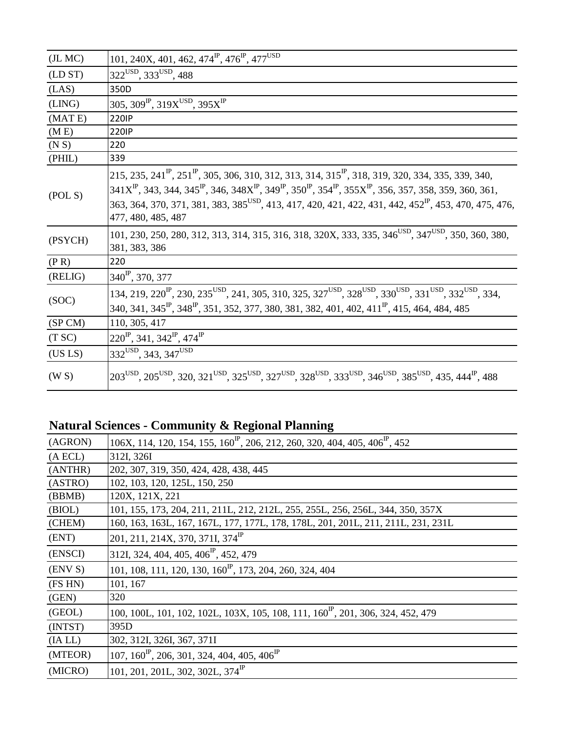| (JL MC) | 101, 240X, 401, 462, 474 <sup>IP</sup> , 476 <sup>IP</sup> , 477 <sup>USD</sup>                                                                                                                                                                                                                                                                                                                                                                              |
|---------|--------------------------------------------------------------------------------------------------------------------------------------------------------------------------------------------------------------------------------------------------------------------------------------------------------------------------------------------------------------------------------------------------------------------------------------------------------------|
| (LD ST) | 322USD, 333USD, 488                                                                                                                                                                                                                                                                                                                                                                                                                                          |
| (LAS)   | 350D                                                                                                                                                                                                                                                                                                                                                                                                                                                         |
| (LING)  | 305, 309 <sup>IP</sup> , 319X <sup>USD</sup> , 395X <sup>IP</sup>                                                                                                                                                                                                                                                                                                                                                                                            |
| (MATE)  | <b>220IP</b>                                                                                                                                                                                                                                                                                                                                                                                                                                                 |
| (M E)   | <b>220IP</b>                                                                                                                                                                                                                                                                                                                                                                                                                                                 |
| (N S)   | 220                                                                                                                                                                                                                                                                                                                                                                                                                                                          |
| (PHIL)  | 339                                                                                                                                                                                                                                                                                                                                                                                                                                                          |
| (POLS)  | 215, 235, 241 <sup>IP</sup> , 251 <sup>IP</sup> , 305, 306, 310, 312, 313, 314, 315 <sup>IP</sup> , 318, 319, 320, 334, 335, 339, 340,<br>$341X^P$ , 343, 344, 345 <sup>P</sup> , 346, 348 $X^P$ , 349 <sup>P</sup> , 350 <sup>P</sup> , 354 <sup>P</sup> , 355 $X^P$ , 356, 357, 358, 359, 360, 361,<br>363, 364, 370, 371, 381, 383, 385 <sup>USD</sup> , 413, 417, 420, 421, 422, 431, 442, 452 <sup>IP</sup> , 453, 470, 475, 476,<br>477, 480, 485, 487 |
| (PSYCH) | 101, 230, 250, 280, 312, 313, 314, 315, 316, 318, 320X, 333, 335, 346 <sup>USD</sup> , 347 <sup>USD</sup> , 350, 360, 380,<br>381, 383, 386                                                                                                                                                                                                                                                                                                                  |
| (P R)   | 220                                                                                                                                                                                                                                                                                                                                                                                                                                                          |
| (RELIG) | 340 <sup>IP</sup> , 370, 377                                                                                                                                                                                                                                                                                                                                                                                                                                 |
| (SOC)   | $134, 219, 220^{\text{IP}}, 230, 235^{\text{USD}}, 241, 305, 310, 325, 327^{\text{USD}}, 328^{\text{USD}}, 330^{\text{USD}}, 331^{\text{USD}}, 332^{\text{USD}}, 334,$<br>340, 341, 345 <sup>IP</sup> , 348 <sup>IP</sup> , 351, 352, 377, 380, 381, 382, 401, 402, 411 <sup>IP</sup> , 415, 464, 484, 485                                                                                                                                                   |
| (SP CM) | 110, 305, 417                                                                                                                                                                                                                                                                                                                                                                                                                                                |
| (T SC)  | $220^{\rm IP}$ , 341, 342 <sup>IP</sup> , 474 <sup>IP</sup>                                                                                                                                                                                                                                                                                                                                                                                                  |
| (US LS) | 332 <sup>USD</sup> , 343, 347 <sup>USD</sup>                                                                                                                                                                                                                                                                                                                                                                                                                 |
| (W S)   | 203 <sup>USD</sup> , 205 <sup>USD</sup> , 320, 321 <sup>USD</sup> , 325 <sup>USD</sup> , 327 <sup>USD</sup> , 328 <sup>USD</sup> , 333 <sup>USD</sup> , 346 <sup>USD</sup> , 385 <sup>USD</sup> , 435, 444 <sup>IP</sup> , 488                                                                                                                                                                                                                               |

## **Natural Sciences - Community & Regional Planning**

| (AGRON) | 106X, 114, 120, 154, 155, 160 <sup>IP</sup> , 206, 212, 260, 320, 404, 405, 406 <sup>IP</sup> , 452 |
|---------|-----------------------------------------------------------------------------------------------------|
| (A ECL) | 312I, 326I                                                                                          |
| (ANTHR) | 202, 307, 319, 350, 424, 428, 438, 445                                                              |
| (ASTRO) | 102, 103, 120, 125L, 150, 250                                                                       |
| (BBMB)  | 120X, 121X, 221                                                                                     |
| (BIOL)  | 101, 155, 173, 204, 211, 211L, 212, 212L, 255, 255L, 256, 256L, 344, 350, 357X                      |
| (CHEM)  | 160, 163, 163L, 167, 167L, 177, 177L, 178, 178L, 201, 201L, 211, 211L, 231, 231L                    |
| (ENT)   | 201, 211, 214X, 370, 371I, 374 <sup>IP</sup>                                                        |
| (ENSCI) | 312I, 324, 404, 405, 406 <sup>IP</sup> , 452, 479                                                   |
| (ENV S) | 101, 108, 111, 120, 130, 160 <sup>IP</sup> , 173, 204, 260, 324, 404                                |
| (FS HN) | 101, 167                                                                                            |
| (GEN)   | 320                                                                                                 |
| (GEOL)  | 100, 100L, 101, 102, 102L, 103X, 105, 108, 111, 160 <sup>P</sup> , 201, 306, 324, 452, 479          |
| (INTST) | 395D                                                                                                |
| (IA LL) | 302, 312I, 326I, 367, 371I                                                                          |
| (MTEOR) | $107, 160^{\text{IP}}$ , 206, 301, 324, 404, 405, 406 <sup>IP</sup>                                 |
| (MICRO) | 101, 201, 201L, 302, 302L, $374^{\text{IP}}$                                                        |